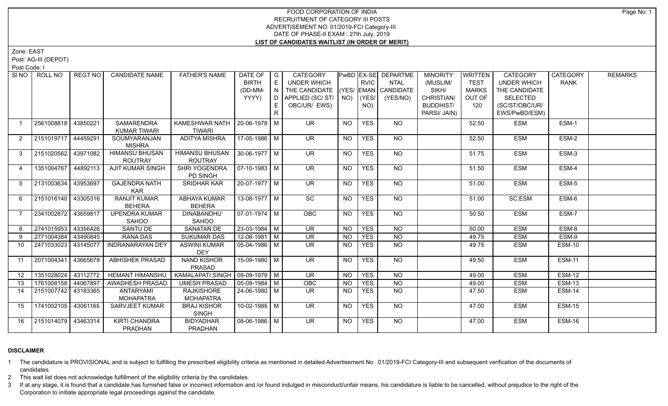## FOOD CORPORATION OF INDIA RECRUITMENT OF CATEGORY III POSTS ADVERTISEMENT NO. 01/2019-FCI Category-III DATE OF PHASE-II EXAM : 27th July, 2019 **LIST OF CANDIDATES WAITLIST (IN ORDER OF MERIT)**

Zone: EAST

Post: AG-III (DEPOT)

Post Code: I

| SI <sub>NO</sub> | ROLL NO             | REGT NO  | <b>CANDIDATE NAME</b>   | <b>FATHER'S NAME</b>              | DATE OF               | $\overline{\phantom{a}}$ G | <b>CATEGORY</b>                    |                |             | PwBD EX-SE DEPARTME | <b>MINORITY</b>  | WRITTEN      | <b>CATEGORY</b>    | <b>CATEGORY</b> | <b>REMARKS</b> |
|------------------|---------------------|----------|-------------------------|-----------------------------------|-----------------------|----------------------------|------------------------------------|----------------|-------------|---------------------|------------------|--------------|--------------------|-----------------|----------------|
|                  |                     |          |                         |                                   | <b>BIRTH</b>          | $\mathsf E$                | UNDER WHICH                        |                | <b>RVIC</b> | <b>NTAL</b>         | (MUSLIM/         | <b>TEST</b>  | <b>UNDER WHICH</b> | <b>RANK</b>     |                |
|                  |                     |          |                         |                                   | (DD-MM-               |                            | THE CANDIDATE (YES/ EMAN CANDIDATE |                |             |                     | SIKH/            | <b>MARKS</b> | THE CANDIDATE      |                 |                |
|                  |                     |          |                         |                                   | YYYY)                 |                            | D   APPLIED (SC/ ST/   NO)         |                | $ $ (YES/   | (YES/NO)            | CHRISTIAN/       | OUT OF       | SELECTED           |                 |                |
|                  |                     |          |                         |                                   |                       | E.                         | OBC/UR/ EWS)                       |                | NO)         |                     | <b>BUDDHIST/</b> | 120          | (SC/ST/OBC/UR/     |                 |                |
|                  |                     |          |                         |                                   |                       | R.                         |                                    |                |             |                     | PARSI/ JAIN)     |              | EWS/PwBD/ESM)      |                 |                |
| $\mathbf{1}$     | 2561008818          | 43850221 | <b>SAMARENDRA</b>       | KAMESHWAR NATH   20-06-1978   M   |                       |                            | <b>UR</b>                          | <b>NO</b>      | <b>YES</b>  | NO                  |                  | 52.50        | <b>ESM</b>         | ESM-1           |                |
|                  |                     |          | <b>KUMAR TIWARI</b>     | <b>TIWARI</b>                     |                       |                            |                                    |                |             |                     |                  |              |                    |                 |                |
| $\overline{2}$   | 2151019717 44459291 |          | SOUMYARANJAN            | ADITYA MISHRA                     | 17-05-1986 M          |                            | $\overline{\mathsf{UR}}$           | <b>NO</b>      | <b>YES</b>  | <b>NO</b>           |                  | 52.50        | <b>ESM</b>         | ESM-2           |                |
|                  |                     |          | <b>MISHRA</b>           |                                   |                       |                            |                                    |                |             |                     |                  |              |                    |                 |                |
| $\mathbf{3}$     | 2151020562 43971082 |          | HIMANSU BHUSAN          | HIMANSU BHUSAN                    | $ 30-06-1977 M$       |                            | $\overline{\mathsf{UR}}$           | <b>NO</b>      | <b>YES</b>  | NO                  |                  | 51.75        | <b>ESM</b>         | ESM-3           |                |
|                  |                     |          | <b>ROUTRAY</b>          | <b>ROUTRAY</b>                    |                       |                            |                                    |                |             |                     |                  |              |                    |                 |                |
| $\overline{4}$   | 1351004767 44892113 |          | <b>AJIT KUMAR SINGH</b> | <b>SHRI YOGENDRA</b>              | $\sqrt{07-10-1983}$ M |                            | UR                                 | NO.            | <b>YES</b>  | NO                  |                  | 51.50        | <b>ESM</b>         | ESM-4           |                |
|                  |                     |          |                         | PD SINGH                          |                       |                            |                                    |                |             |                     |                  |              |                    |                 |                |
| 5                | 2131003634 43953697 |          | <b>GAJENDRA NATH</b>    | <b>SRIDHAR KAR</b>                | $20-07-1977$ M        |                            | $\overline{\mathsf{UR}}$           | <b>NO</b>      | <b>YES</b>  | NO                  |                  | 51.00        | <b>ESM</b>         | ESM-5           |                |
|                  |                     |          | <b>KAR</b>              |                                   |                       |                            |                                    |                |             |                     |                  |              |                    |                 |                |
| 6                | 2151016140 43305316 |          | <b>RANJIT KUMAR</b>     | ABHAYA KUMAR                      | $13-08-1977$ M        |                            | SC                                 | <b>NO</b>      | <b>YES</b>  | NO                  |                  | 51.00        | SC;ESM             | ESM-6           |                |
|                  |                     |          | <b>BEHERA</b>           | <b>BEHERA</b>                     |                       |                            |                                    |                |             |                     |                  |              |                    |                 |                |
| $\overline{7}$   | 2341002872 43659817 |          | <b>UPENDRA KUMAR</b>    | <b>DINABANDHU</b>                 | $\sqrt{07-01-1974}$ M |                            | OBC                                | <b>NO</b>      | <b>YES</b>  | $\overline{NQ}$     |                  | 50.50        | <b>ESM</b>         | ESM-7           |                |
|                  |                     |          | SAHOO                   | SAHOO                             |                       |                            |                                    |                |             |                     |                  |              |                    |                 |                |
| 8                | 2741015953 43356426 |          | SANTU DE                | <b>SANATAN DE</b>                 | $23 - 03 - 1984$ M    |                            | $\overline{\mathsf{UR}}$           | <b>NO</b>      | <b>YES</b>  | <b>NO</b>           |                  | 50.00        | <b>ESM</b>         | ESM-8           |                |
| 9                | 2771004384 43490845 |          | RANA DAS                | <b>SUKUMAR DAS</b>                | $12 - 08 - 1981$ M    |                            | <b>UR</b>                          | <b>NO</b>      | <b>YES</b>  | <b>NO</b>           |                  | 49.75        | <b>ESM</b>         | ESM-9           |                |
| 10               | 2471033023          | 43145077 | <b>INDRANARAYAN DEY</b> | <b>ASWINI KUMAR</b>               | 05-04-1986   M        |                            | <b>UR</b>                          | NO             | <b>YES</b>  | <b>NO</b>           |                  | 49.75        | <b>ESM</b>         | <b>ESM-10</b>   |                |
|                  |                     |          |                         | DEY                               |                       |                            |                                    |                |             |                     |                  |              |                    |                 |                |
| -11              | 2071004341 43665678 |          | <b>ABHISHEK PRASAD</b>  | <b>NAND KISHOR</b>                | $15-09-1980$ M        |                            | UR.                                | <b>NO</b>      | <b>YES</b>  | NO                  |                  | 49.50        | <b>ESM</b>         | <b>ESM-11</b>   |                |
|                  |                     |          |                         | PRASAD                            |                       |                            |                                    |                |             |                     |                  |              |                    |                 |                |
| 12 <sup>°</sup>  | 1351028024 43112772 |          | <b>HEMANT HIMANSHU</b>  | KAMALAPATI SINGH   09-09-1979   M |                       |                            | $\overline{\mathsf{UR}}$           | <b>NO</b>      | <b>YES</b>  | $N$ O               |                  | 49.00        | <b>ESM</b>         | <b>ESM-12</b>   |                |
| 13               | 1761008158 44067897 |          | <b>AWADHESH PRASAD</b>  | <b>UMESH PRASAD</b>               | $\sqrt{05-09-1984}$ M |                            | OBC                                | N <sub>O</sub> | <b>YES</b>  | $N$ O               |                  | 49.00        | <b>ESM</b>         | <b>ESM-13</b>   |                |
| 14               | 2151007742 43183365 |          | <b>ANTARYAMI</b>        | <b>RAJKISHORE</b>                 | $24 - 06 - 1980$ M    |                            | $\overline{\mathsf{UR}}$           | NO.            | <b>YES</b>  | N <sub>O</sub>      |                  | 47.50        | <b>ESM</b>         | <b>ESM-14</b>   |                |
|                  |                     |          | <b>MOHAPATRA</b>        | <b>MOHAPATRA</b>                  |                       |                            |                                    |                |             |                     |                  |              |                    |                 |                |
| 15               | 1741002105 43061165 |          | <b>SARVJEET KUMAR</b>   | <b>BRAJ KISHOR</b>                | $10-02-1985$ M        |                            | UR                                 | NO             | <b>YES</b>  | NO                  |                  | 47.00        | <b>ESM</b>         | <b>ESM-15</b>   |                |
|                  |                     |          |                         | <b>SINGH</b>                      |                       |                            |                                    |                |             |                     |                  |              |                    |                 |                |
| 16               | 2151014079 43463314 |          | <b>KIRTI CHANDRA</b>    | <b>BIDYADHAR</b>                  | 08-06-1986 M          |                            | <b>UR</b>                          | NO             | <b>YES</b>  | <b>NO</b>           |                  | 47.00        | <b>ESM</b>         | <b>ESM-16</b>   |                |
|                  |                     |          | <b>PRADHAN</b>          | <b>PRADHAN</b>                    |                       |                            |                                    |                |             |                     |                  |              |                    |                 |                |

## **DISCLAIMER**

1 The candidature is PROVISIONAL and is subject to fulfilling the prescribed eligibility criteria as mentioned in detailed Advertisement No .01/2019-FCI Category-III and subsequent verification of the documents of candidates.

2 This wait list does not acknowledge fulfillment of the eligibility criteria by the candidates.

3 If at any stage, it is found that a candidate has furnished false or incorrect information and /or found indulged in misconduct/unfair means, his candidature is liable to be cancelled, without prejudice to the right of t Corporation to initiate appropriate legal proceedings against the candidate.

Page No: 1